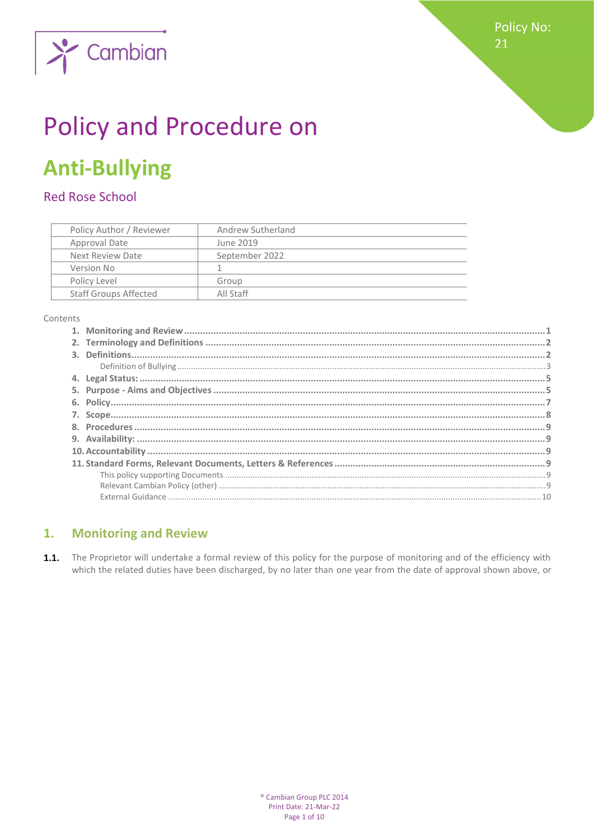

# **Policy and Procedure on**

## **Anti-Bullying**

Cambian

### **Red Rose School**

| Policy Author / Reviewer |                              | Andrew Sutherland |  |
|--------------------------|------------------------------|-------------------|--|
|                          | Approval Date                | June 2019         |  |
|                          | Next Review Date             | September 2022    |  |
|                          | Version No                   |                   |  |
|                          | Policy Level                 | Group             |  |
|                          | <b>Staff Groups Affected</b> | All Staff         |  |

Contents

#### <span id="page-0-0"></span>**Monitoring and Review**  $1.$

 $1.1.$ The Proprietor will undertake a formal review of this policy for the purpose of monitoring and of the efficiency with which the related duties have been discharged, by no later than one year from the date of approval shown above, or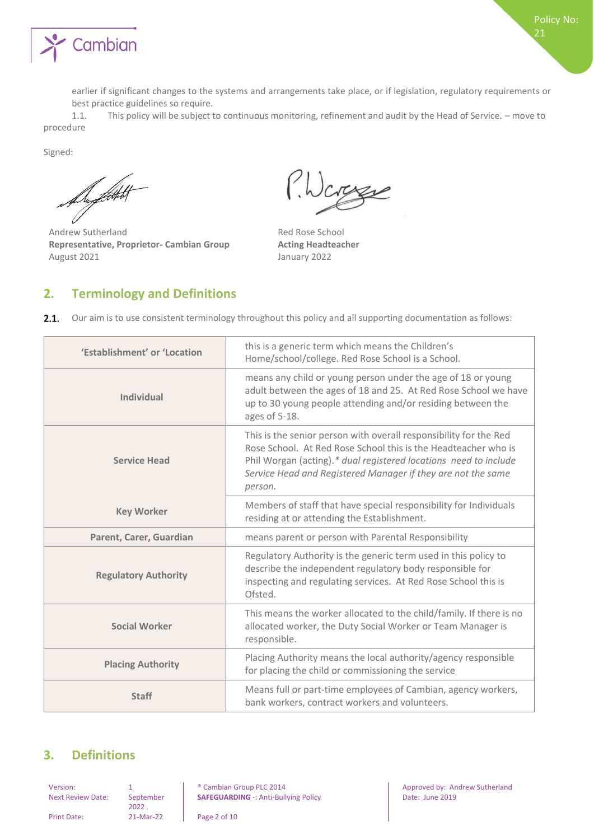

earlier if significant changes to the systems and arrangements take place, or if legislation, regulatory requirements or best practice guidelines so require.

1.1. This policy will be subject to continuous monitoring, refinement and audit by the Head of Service. – move to procedure

Signed:

De flott t

Andrew Sutherland **Red Rose School Representative, Proprietor- Cambian Group Acting Headteacher**  August 2021 **January 2022** 

Icrosse

#### <span id="page-1-0"></span>**2. Terminology and Definitions**

| 'Establishment' or 'Location | this is a generic term which means the Children's<br>Home/school/college. Red Rose School is a School.                                                                                                                                                                             |  |
|------------------------------|------------------------------------------------------------------------------------------------------------------------------------------------------------------------------------------------------------------------------------------------------------------------------------|--|
| Individual                   | means any child or young person under the age of 18 or young<br>adult between the ages of 18 and 25. At Red Rose School we have<br>up to 30 young people attending and/or residing between the<br>ages of 5-18.                                                                    |  |
| <b>Service Head</b>          | This is the senior person with overall responsibility for the Red<br>Rose School. At Red Rose School this is the Headteacher who is<br>Phil Worgan (acting).* dual registered locations need to include<br>Service Head and Registered Manager if they are not the same<br>person. |  |
| <b>Key Worker</b>            | Members of staff that have special responsibility for Individuals<br>residing at or attending the Establishment.                                                                                                                                                                   |  |
| Parent, Carer, Guardian      | means parent or person with Parental Responsibility                                                                                                                                                                                                                                |  |
| <b>Regulatory Authority</b>  | Regulatory Authority is the generic term used in this policy to<br>describe the independent regulatory body responsible for<br>inspecting and regulating services. At Red Rose School this is<br>Ofsted.                                                                           |  |
| <b>Social Worker</b>         | This means the worker allocated to the child/family. If there is no<br>allocated worker, the Duty Social Worker or Team Manager is<br>responsible.                                                                                                                                 |  |
| <b>Placing Authority</b>     | Placing Authority means the local authority/agency responsible<br>for placing the child or commissioning the service                                                                                                                                                               |  |
| <b>Staff</b>                 | Means full or part-time employees of Cambian, agency workers,<br>bank workers, contract workers and volunteers.                                                                                                                                                                    |  |

#### <span id="page-1-1"></span>**3. Definitions**

Next Review Date: September 2022

Print Date: 21-Mar-22 Page 2 of 10

**SAFEGUARDING** -: Anti-Bullying Policy Date: June 2019

Version: 1 8 ambian Group PLC 2014 1 Approved by: Andrew Sutherland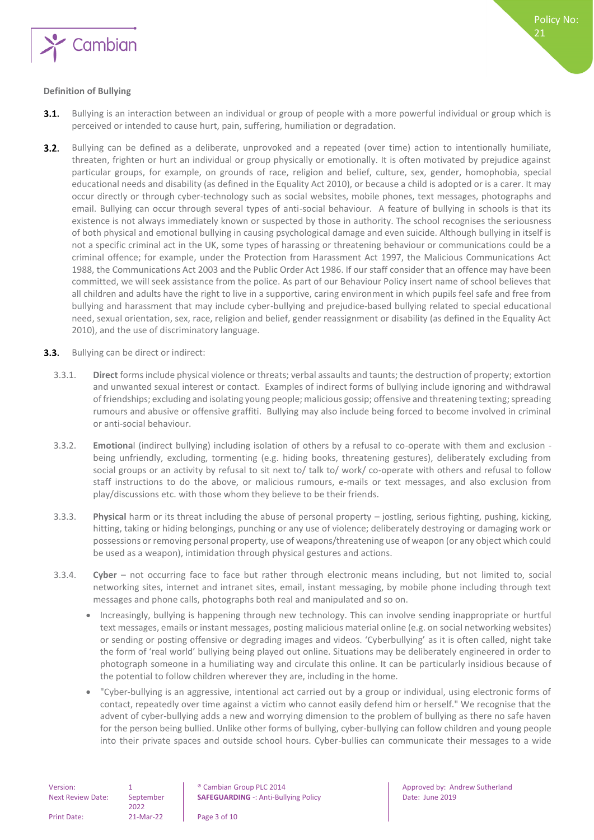

#### <span id="page-2-0"></span>**Definition of Bullying**

- Bullying is an interaction between an individual or group of people with a more powerful individual or group which is  $3.1.$ perceived or intended to cause hurt, pain, suffering, humiliation or degradation.
- $3.2.$ Bullying can be defined as a deliberate, unprovoked and a repeated (over time) action to intentionally humiliate, threaten, frighten or hurt an individual or group physically or emotionally. It is often motivated by prejudice against particular groups, for example, on grounds of race, religion and belief, culture, sex, gender, homophobia, special educational needs and disability (as defined in the Equality Act 2010), or because a child is adopted or is a carer. It may occur directly or through cyber-technology such as social websites, mobile phones, text messages, photographs and email. Bullying can occur through several types of anti-social behaviour. A feature of bullying in schools is that its existence is not always immediately known or suspected by those in authority. The school recognises the seriousness of both physical and emotional bullying in causing psychological damage and even suicide. Although bullying in itself is not a specific criminal act in the UK, some types of harassing or threatening behaviour or communications could be a criminal offence; for example, under the Protection from Harassment Act 1997, the Malicious Communications Act 1988, the Communications Act 2003 and the Public Order Act 1986. If our staff consider that an offence may have been committed, we will seek assistance from the police. As part of our Behaviour Policy insert name of school believes that all children and adults have the right to live in a supportive, caring environment in which pupils feel safe and free from bullying and harassment that may include cyber-bullying and prejudice-based bullying related to special educational need, sexual orientation, sex, race, religion and belief, gender reassignment or disability (as defined in the Equality Act 2010), and the use of discriminatory language.
- $3.3.$ Bullying can be direct or indirect:
	- 3.3.1. **Direct** forms include physical violence or threats; verbal assaults and taunts; the destruction of property; extortion and unwanted sexual interest or contact. Examples of indirect forms of bullying include ignoring and withdrawal of friendships; excluding and isolating young people; malicious gossip; offensive and threatening texting; spreading rumours and abusive or offensive graffiti. Bullying may also include being forced to become involved in criminal or anti-social behaviour.
	- 3.3.2. **Emotiona**l (indirect bullying) including isolation of others by a refusal to co-operate with them and exclusion being unfriendly, excluding, tormenting (e.g. hiding books, threatening gestures), deliberately excluding from social groups or an activity by refusal to sit next to/ talk to/ work/ co-operate with others and refusal to follow staff instructions to do the above, or malicious rumours, e-mails or text messages, and also exclusion from play/discussions etc. with those whom they believe to be their friends.
	- 3.3.3. **Physical** harm or its threat including the abuse of personal property jostling, serious fighting, pushing, kicking, hitting, taking or hiding belongings, punching or any use of violence; deliberately destroying or damaging work or possessions or removing personal property, use of weapons/threatening use of weapon (or any object which could be used as a weapon), intimidation through physical gestures and actions.
	- 3.3.4. **Cyber** not occurring face to face but rather through electronic means including, but not limited to, social networking sites, internet and intranet sites, email, instant messaging, by mobile phone including through text messages and phone calls, photographs both real and manipulated and so on.
		- Increasingly, bullying is happening through new technology. This can involve sending inappropriate or hurtful text messages, emails or instant messages, posting malicious material online (e.g. on social networking websites) or sending or posting offensive or degrading images and videos. 'Cyberbullying' as it is often called, night take the form of 'real world' bullying being played out online. Situations may be deliberately engineered in order to photograph someone in a humiliating way and circulate this online. It can be particularly insidious because of the potential to follow children wherever they are, including in the home.
		- "Cyber-bullying is an aggressive, intentional act carried out by a group or individual, using electronic forms of contact, repeatedly over time against a victim who cannot easily defend him or herself." We recognise that the advent of cyber-bullying adds a new and worrying dimension to the problem of bullying as there no safe haven for the person being bullied. Unlike other forms of bullying, cyber-bullying can follow children and young people into their private spaces and outside school hours. Cyber-bullies can communicate their messages to a wide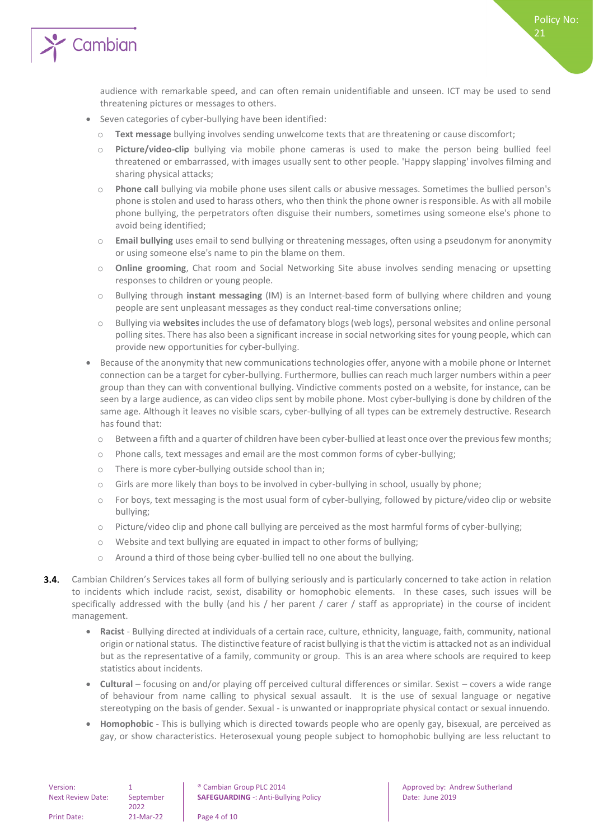

audience with remarkable speed, and can often remain unidentifiable and unseen. ICT may be used to send threatening pictures or messages to others.

- Seven categories of cyber-bullying have been identified:
	- o **Text message** bullying involves sending unwelcome texts that are threatening or cause discomfort;
	- o **Picture/video-clip** bullying via mobile phone cameras is used to make the person being bullied feel threatened or embarrassed, with images usually sent to other people. 'Happy slapping' involves filming and sharing physical attacks;
	- o **Phone call** bullying via mobile phone uses silent calls or abusive messages. Sometimes the bullied person's phone is stolen and used to harass others, who then think the phone owner is responsible. As with all mobile phone bullying, the perpetrators often disguise their numbers, sometimes using someone else's phone to avoid being identified;
	- o **Email bullying** uses email to send bullying or threatening messages, often using a pseudonym for anonymity or using someone else's name to pin the blame on them.
	- o **Online grooming**, Chat room and Social Networking Site abuse involves sending menacing or upsetting responses to children or young people.
	- o Bullying through **instant messaging** (IM) is an Internet-based form of bullying where children and young people are sent unpleasant messages as they conduct real-time conversations online;
	- o Bullying via **websites**includes the use of defamatory blogs (web logs), personal websites and online personal polling sites. There has also been a significant increase in social networking sites for young people, which can provide new opportunities for cyber-bullying.
- Because of the anonymity that new communications technologies offer, anyone with a mobile phone or Internet connection can be a target for cyber-bullying. Furthermore, bullies can reach much larger numbers within a peer group than they can with conventional bullying. Vindictive comments posted on a website, for instance, can be seen by a large audience, as can video clips sent by mobile phone. Most cyber-bullying is done by children of the same age. Although it leaves no visible scars, cyber-bullying of all types can be extremely destructive. Research has found that:
	- o Between a fifth and a quarter of children have been cyber-bullied at least once over the previous few months;
	- o Phone calls, text messages and email are the most common forms of cyber-bullying;
	- There is more cyber-bullying outside school than in;
	- o Girls are more likely than boys to be involved in cyber-bullying in school, usually by phone;
	- o For boys, text messaging is the most usual form of cyber-bullying, followed by picture/video clip or website bullying;
	- o Picture/video clip and phone call bullying are perceived as the most harmful forms of cyber-bullying;
	- o Website and text bullying are equated in impact to other forms of bullying;
	- o Around a third of those being cyber-bullied tell no one about the bullying.
- **3.4.** Cambian Children's Services takes all form of bullying seriously and is particularly concerned to take action in relation to incidents which include racist, sexist, disability or homophobic elements. In these cases, such issues will be specifically addressed with the bully (and his / her parent / carer / staff as appropriate) in the course of incident management.
	- **Racist**  Bullying directed at individuals of a certain race, culture, ethnicity, language, faith, community, national origin or national status. The distinctive feature of racist bullying is that the victim is attacked not as an individual but as the representative of a family, community or group. This is an area where schools are required to keep statistics about incidents.
	- **Cultural** focusing on and/or playing off perceived cultural differences or similar. Sexist covers a wide range of behaviour from name calling to physical sexual assault. It is the use of sexual language or negative stereotyping on the basis of gender. Sexual - is unwanted or inappropriate physical contact or sexual innuendo.
	- **Homophobic** This is bullying which is directed towards people who are openly gay, bisexual, are perceived as gay, or show characteristics. Heterosexual young people subject to homophobic bullying are less reluctant to

| Version:                 |                   | <sup>®</sup> Cambian G |
|--------------------------|-------------------|------------------------|
| <b>Next Review Date:</b> | September<br>2022 | <b>SAFEGUARD</b>       |
|                          |                   |                        |
| <b>Print Date:</b>       | 21-Mar-22         | Page 4 of 10           |

Policy No:

21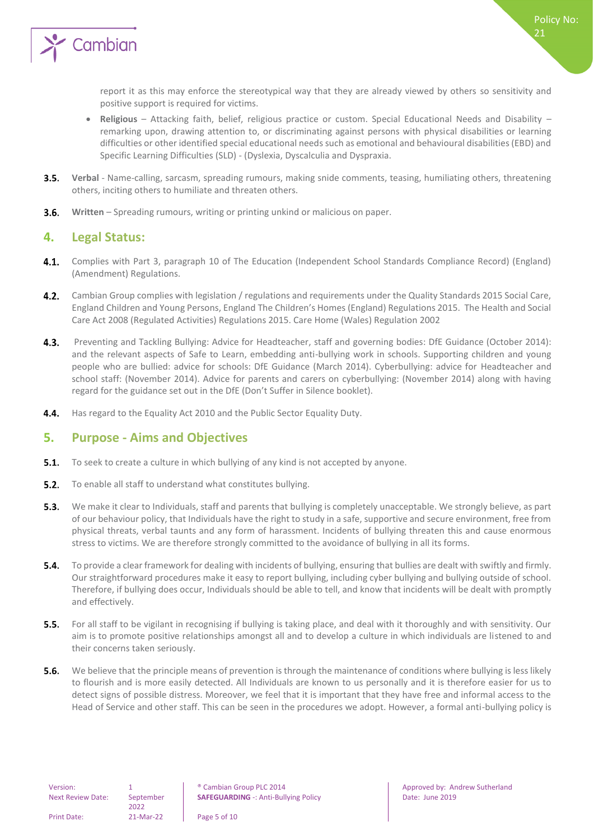

report it as this may enforce the stereotypical way that they are already viewed by others so sensitivity and positive support is required for victims.

- **Religious** Attacking faith, belief, religious practice or custom. Special Educational Needs and Disability remarking upon, drawing attention to, or discriminating against persons with physical disabilities or learning difficulties or other identified special educational needs such as emotional and behavioural disabilities (EBD) and Specific Learning Difficulties (SLD) - (Dyslexia, Dyscalculia and Dyspraxia.
- $3.5.$ **Verbal** - Name-calling, sarcasm, spreading rumours, making snide comments, teasing, humiliating others, threatening others, inciting others to humiliate and threaten others.
- <span id="page-4-0"></span> $3.6.$ **Written** – Spreading rumours, writing or printing unkind or malicious on paper.

#### **4. Legal Status:**

- 4.1. Complies with Part 3, paragraph 10 of The Education (Independent School Standards Compliance Record) (England) (Amendment) Regulations.
- $4.2.$ Cambian Group complies with legislation / regulations and requirements under the Quality Standards 2015 Social Care, England Children and Young Persons, England The Children's Homes (England) Regulations 2015. The Health and Social Care Act 2008 (Regulated Activities) Regulations 2015. Care Home (Wales) Regulation 2002
- $4.3.$ Preventing and Tackling Bullying: Advice for Headteacher, staff and governing bodies: DfE Guidance (October 2014): and the relevant aspects of Safe to Learn, embedding anti-bullying work in schools. Supporting children and young people who are bullied: advice for schools: DfE Guidance (March 2014). Cyberbullying: advice for Headteacher and school staff: (November 2014). Advice for parents and carers on cyberbullying: (November 2014) along with having regard for the guidance set out in the DfE (Don't Suffer in Silence booklet).
- <span id="page-4-1"></span> $4.4.$ Has regard to the Equality Act 2010 and the Public Sector Equality Duty.

#### **5. Purpose - Aims and Objectives**

- $5.1.$ To seek to create a culture in which bullying of any kind is not accepted by anyone.
- $5.2.$ To enable all staff to understand what constitutes bullying.
- $5.3.$ We make it clear to Individuals, staff and parents that bullying is completely unacceptable. We strongly believe, as part of our behaviour policy, that Individuals have the right to study in a safe, supportive and secure environment, free from physical threats, verbal taunts and any form of harassment. Incidents of bullying threaten this and cause enormous stress to victims. We are therefore strongly committed to the avoidance of bullying in all its forms.
- **5.4.** To provide a clear framework for dealing with incidents of bullying, ensuring that bullies are dealt with swiftly and firmly. Our straightforward procedures make it easy to report bullying, including cyber bullying and bullying outside of school. Therefore, if bullying does occur, Individuals should be able to tell, and know that incidents will be dealt with promptly and effectively.
- $5.5.$ For all staff to be vigilant in recognising if bullying is taking place, and deal with it thoroughly and with sensitivity. Our aim is to promote positive relationships amongst all and to develop a culture in which individuals are listened to and their concerns taken seriously.
- $5.6.$ We believe that the principle means of prevention is through the maintenance of conditions where bullying is less likely to flourish and is more easily detected. All Individuals are known to us personally and it is therefore easier for us to detect signs of possible distress. Moreover, we feel that it is important that they have free and informal access to the Head of Service and other staff. This can be seen in the procedures we adopt. However, a formal anti-bullying policy is

2022

**SAFEGUARDING** -: Anti-Bullying Policy **Date: Under the 2019** 

Print Date: 21-Mar-22 Page 5 of 10

Version: 1 1 8 | Cambian Group PLC 2014 | Approved by: Andrew Sutherland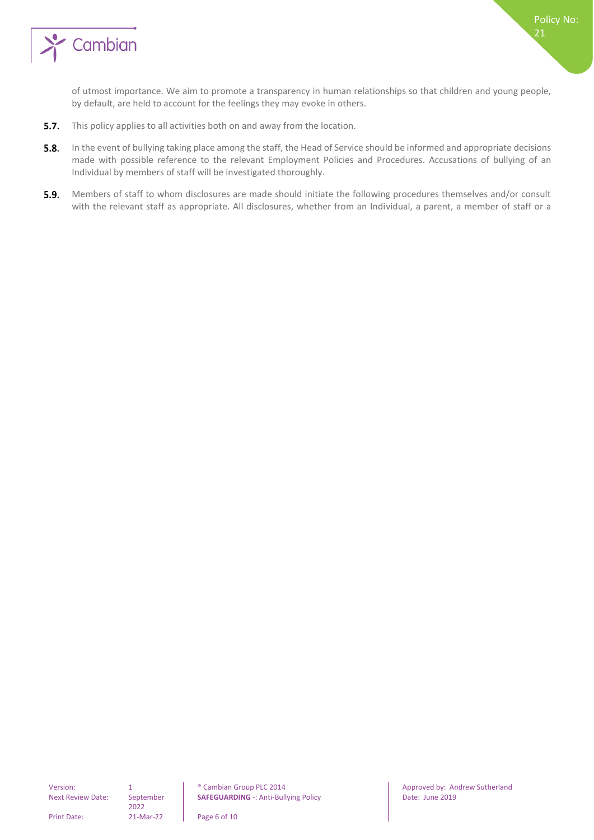

of utmost importance. We aim to promote a transparency in human relationships so that children and young people, by default, are held to account for the feelings they may evoke in others.

- $5.7.$ This policy applies to all activities both on and away from the location.
- $5.8.$ In the event of bullying taking place among the staff, the Head of Service should be informed and appropriate decisions made with possible reference to the relevant Employment Policies and Procedures. Accusations of bullying of an Individual by members of staff will be investigated thoroughly.
- 5.9. Members of staff to whom disclosures are made should initiate the following procedures themselves and/or consult with the relevant staff as appropriate. All disclosures, whether from an Individual, a parent, a member of staff or a

2022

Version: 1 0 \$ 2014 Cambian Group PLC 2014 Approved by: Andrew Sutherland<br>
Next Review Date: September **SAFEGUARDING** -: Anti-Bullying Policy **Cambian Date: June 2019 SAFEGUARDING** -: Anti-Bullying Policy **Date: June 2019** 

Print Date: 21-Mar-22 Page 6 of 10

Policy No: 21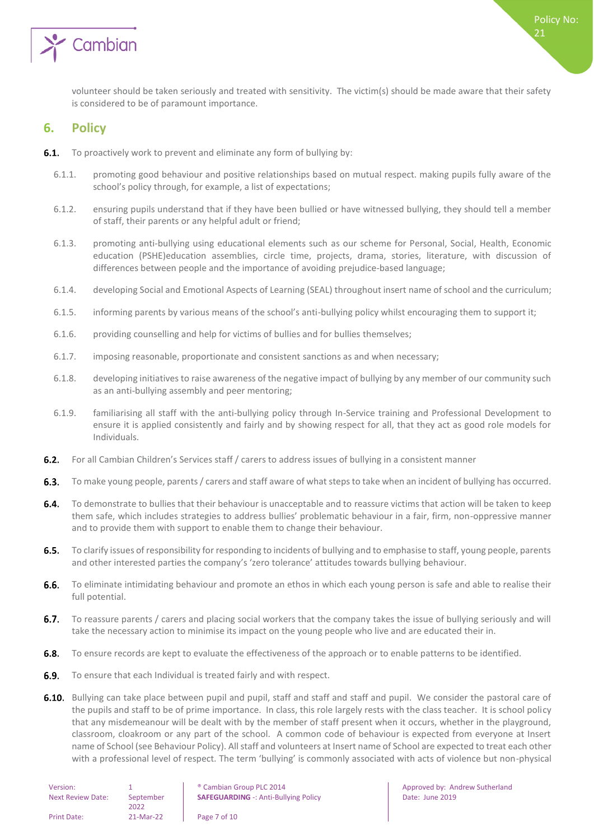

<span id="page-6-0"></span>volunteer should be taken seriously and treated with sensitivity. The victim(s) should be made aware that their safety is considered to be of paramount importance.

#### **6. Policy**

- **6.1.** To proactively work to prevent and eliminate any form of bullying by:
	- 6.1.1. promoting good behaviour and positive relationships based on mutual respect. making pupils fully aware of the school's policy through, for example, a list of expectations;
	- 6.1.2. ensuring pupils understand that if they have been bullied or have witnessed bullying, they should tell a member of staff, their parents or any helpful adult or friend;
	- 6.1.3. promoting anti-bullying using educational elements such as our scheme for Personal, Social, Health, Economic education (PSHE)education assemblies, circle time, projects, drama, stories, literature, with discussion of differences between people and the importance of avoiding prejudice-based language;
	- 6.1.4. developing Social and Emotional Aspects of Learning (SEAL) throughout insert name of school and the curriculum;
	- 6.1.5. informing parents by various means of the school's anti-bullying policy whilst encouraging them to support it;
	- 6.1.6. providing counselling and help for victims of bullies and for bullies themselves;
	- 6.1.7. imposing reasonable, proportionate and consistent sanctions as and when necessary;
	- 6.1.8. developing initiatives to raise awareness of the negative impact of bullying by any member of our community such as an anti-bullying assembly and peer mentoring;
	- 6.1.9. familiarising all staff with the anti-bullying policy through In-Service training and Professional Development to ensure it is applied consistently and fairly and by showing respect for all, that they act as good role models for Individuals.
- $6.2.$ For all Cambian Children's Services staff / carers to address issues of bullying in a consistent manner
- To make young people, parents / carers and staff aware of what steps to take when an incident of bullying has occurred.  $6.3.$
- $6.4.$ To demonstrate to bullies that their behaviour is unacceptable and to reassure victims that action will be taken to keep them safe, which includes strategies to address bullies' problematic behaviour in a fair, firm, non-oppressive manner and to provide them with support to enable them to change their behaviour.
- $6.5.$ To clarify issues of responsibility for responding to incidents of bullying and to emphasise to staff, young people, parents and other interested parties the company's 'zero tolerance' attitudes towards bullying behaviour.
- $6.6.$ To eliminate intimidating behaviour and promote an ethos in which each young person is safe and able to realise their full potential.
- $6.7.$ To reassure parents / carers and placing social workers that the company takes the issue of bullying seriously and will take the necessary action to minimise its impact on the young people who live and are educated their in.
- **6.8.** To ensure records are kept to evaluate the effectiveness of the approach or to enable patterns to be identified.
- $6.9.$ To ensure that each Individual is treated fairly and with respect.
- 6.10. Bullying can take place between pupil and pupil, staff and staff and staff and pupil. We consider the pastoral care of the pupils and staff to be of prime importance. In class, this role largely rests with the class teacher. It is school policy that any misdemeanour will be dealt with by the member of staff present when it occurs, whether in the playground, classroom, cloakroom or any part of the school. A common code of behaviour is expected from everyone at Insert name of School (see Behaviour Policy). All staff and volunteers at Insert name of School are expected to treat each other with a professional level of respect. The term 'bullying' is commonly associated with acts of violence but non-physical

| Version:                 |           | <sup>®</sup> Cambian Group PLC 2014         |
|--------------------------|-----------|---------------------------------------------|
| <b>Next Review Date:</b> | September | <b>SAFEGUARDING -: Anti-Bullying Policy</b> |
|                          | 2022      |                                             |
| <b>Print Date:</b>       | 21-Mar-22 | Page 7 of 10                                |

Policy No: 21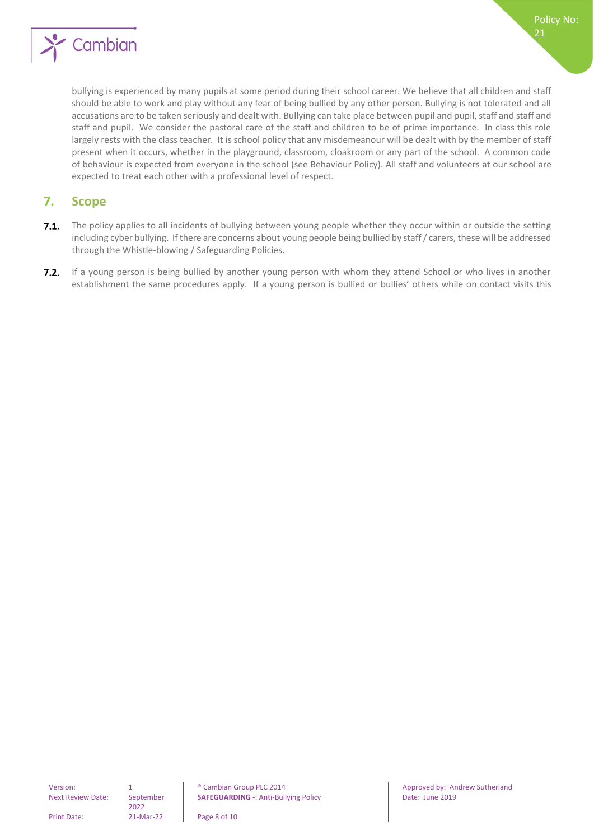

bullying is experienced by many pupils at some period during their school career. We believe that all children and staff should be able to work and play without any fear of being bullied by any other person. Bullying is not tolerated and all accusations are to be taken seriously and dealt with. Bullying can take place between pupil and pupil, staff and staff and staff and pupil. We consider the pastoral care of the staff and children to be of prime importance. In class this role largely rests with the class teacher. It is school policy that any misdemeanour will be dealt with by the member of staff present when it occurs, whether in the playground, classroom, cloakroom or any part of the school. A common code of behaviour is expected from everyone in the school (see Behaviour Policy). All staff and volunteers at our school are expected to treat each other with a professional level of respect.

#### <span id="page-7-0"></span>**7. Scope**

- $7.1.$ The policy applies to all incidents of bullying between young people whether they occur within or outside the setting including cyber bullying. If there are concerns about young people being bullied by staff / carers, these will be addressed through the Whistle-blowing / Safeguarding Policies.
- $7.2.$ If a young person is being bullied by another young person with whom they attend School or who lives in another establishment the same procedures apply. If a young person is bullied or bullies' others while on contact visits this

Next Review Date: September

2022

Version: 1 1 8 | Cambian Group PLC 2014 | Approved by: Andrew Sutherland **SAFEGUARDING** -: Anti-Bullying Policy **Date: Under the 2019** 

Print Date: 21-Mar-22 Page 8 of 10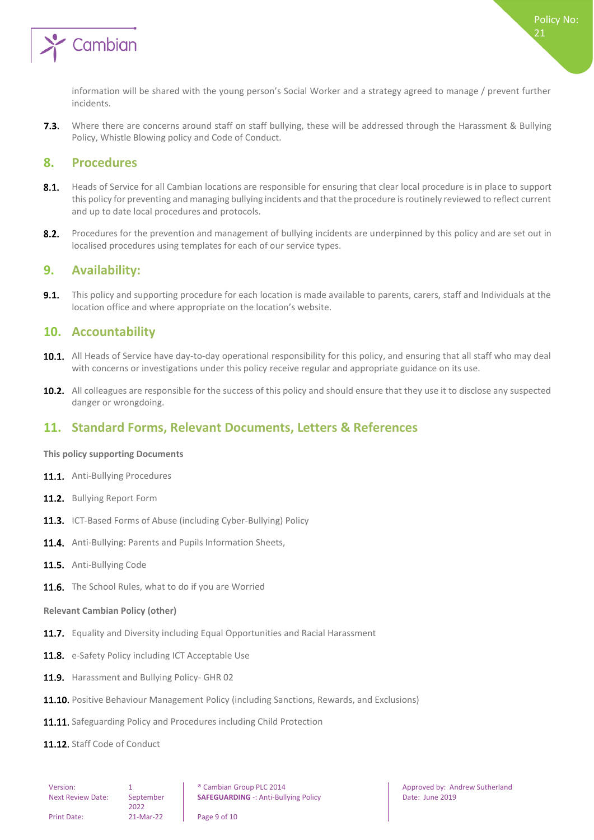

Where there are concerns around staff on staff bullying, these will be addressed through the Harassment & Bullying  $7.3.$ Policy, Whistle Blowing policy and Code of Conduct.

#### <span id="page-8-0"></span>**8. Procedures**

- $8.1.$ Heads of Service for all Cambian locations are responsible for ensuring that clear local procedure is in place to support this policy for preventing and managing bullying incidents and that the procedure is routinely reviewed to reflect current and up to date local procedures and protocols.
- $8.2.$ Procedures for the prevention and management of bullying incidents are underpinned by this policy and are set out in localised procedures using templates for each of our service types.

#### <span id="page-8-1"></span>**9. Availability:**

 $9.1.$ This policy and supporting procedure for each location is made available to parents, carers, staff and Individuals at the location office and where appropriate on the location's website.

#### <span id="page-8-2"></span>**10. Accountability**

- 10.1. All Heads of Service have day-to-day operational responsibility for this policy, and ensuring that all staff who may deal with concerns or investigations under this policy receive regular and appropriate guidance on its use.
- 10.2. All colleagues are responsible for the success of this policy and should ensure that they use it to disclose any suspected danger or wrongdoing.

#### <span id="page-8-3"></span>**11. Standard Forms, Relevant Documents, Letters & References**

#### <span id="page-8-4"></span>**This policy supporting Documents**

- 11.1. Anti-Bullying Procedures
- 11.2. Bullving Report Form
- 11.3. ICT-Based Forms of Abuse (including Cyber-Bullying) Policy
- 11.4. Anti-Bullying: Parents and Pupils Information Sheets,
- 11.5. Anti-Bullving Code
- <span id="page-8-5"></span>11.6. The School Rules, what to do if you are Worried

#### **Relevant Cambian Policy (other)**

- 11.7. Equality and Diversity including Equal Opportunities and Racial Harassment
- 11.8. e-Safety Policy including ICT Acceptable Use
- 11.9. Harassment and Bullying Policy- GHR 02
- 11.10. Positive Behaviour Management Policy (including Sanctions, Rewards, and Exclusions)
- 11.11. Safeguarding Policy and Procedures including Child Protection
- 11.12. Staff Code of Conduct

Policy No:

21